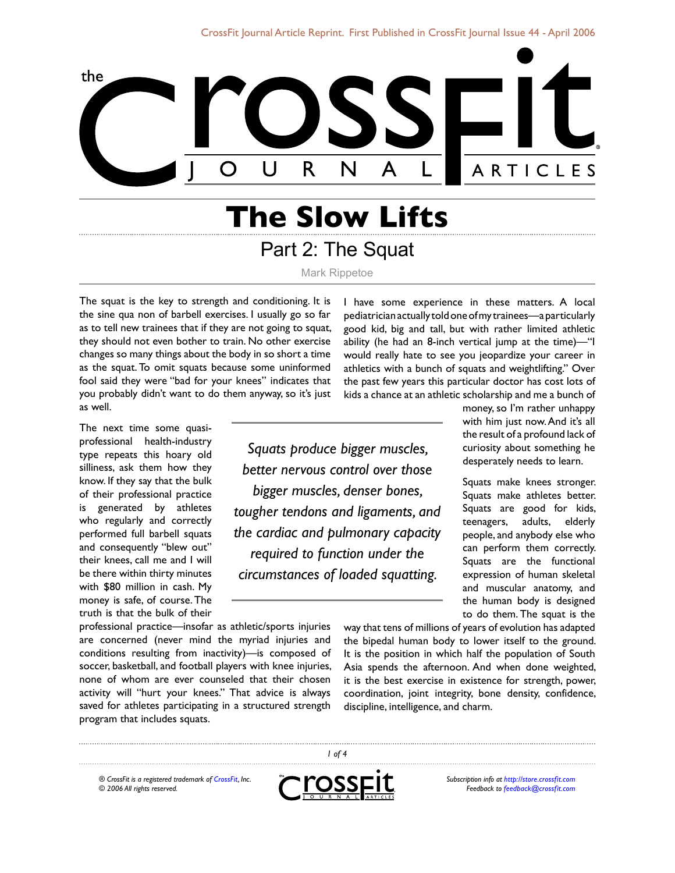

**The Slow Lifts** Part 2: The Squat

Mark Rippetoe

The squat is the key to strength and conditioning. It is the sine qua non of barbell exercises. I usually go so far as to tell new trainees that if they are not going to squat, they should not even bother to train. No other exercise changes so many things about the body in so short a time as the squat. To omit squats because some uninformed fool said they were "bad for your knees" indicates that you probably didn't want to do them anyway, so it's just as well.

The next time some quasiprofessional health-industry type repeats this hoary old silliness, ask them how they know. If they say that the bulk of their professional practice is generated by athletes who regularly and correctly performed full barbell squats and consequently "blew out" their knees, call me and I will be there within thirty minutes with \$80 million in cash. My money is safe, of course. The truth is that the bulk of their

professional practice—insofar as athletic/sports injuries are concerned (never mind the myriad injuries and conditions resulting from inactivity)—is composed of soccer, basketball, and football players with knee injuries, none of whom are ever counseled that their chosen activity will "hurt your knees." That advice is always saved for athletes participating in a structured strength program that includes squats.

I have some experience in these matters. A local pediatrician actually told one of my trainees—a particularly good kid, big and tall, but with rather limited athletic ability (he had an 8-inch vertical jump at the time)—"I would really hate to see you jeopardize your career in athletics with a bunch of squats and weightlifting." Over the past few years this particular doctor has cost lots of kids a chance at an athletic scholarship and me a bunch of

*Squats produce bigger muscles, better nervous control over those bigger muscles, denser bones, tougher tendons and ligaments, and the cardiac and pulmonary capacity required to function under the circumstances of loaded squatting.*

money, so I'm rather unhappy with him just now. And it's all the result of a profound lack of curiosity about something he desperately needs to learn.

Squats make knees stronger. Squats make athletes better. Squats are good for kids, teenagers, adults, elderly people, and anybody else who can perform them correctly. Squats are the functional expression of human skeletal and muscular anatomy, and the human body is designed to do them. The squat is the

way that tens of millions of years of evolution has adapted the bipedal human body to lower itself to the ground. It is the position in which half the population of South Asia spends the afternoon. And when done weighted, it is the best exercise in existence for strength, power, coordination, joint integrity, bone density, confidence, discipline, intelligence, and charm.

*® CrossFit is a registered trademark of [CrossFit,](http://www.crossfit.com) Inc. © 2006 All rights reserved.*



 *of 4*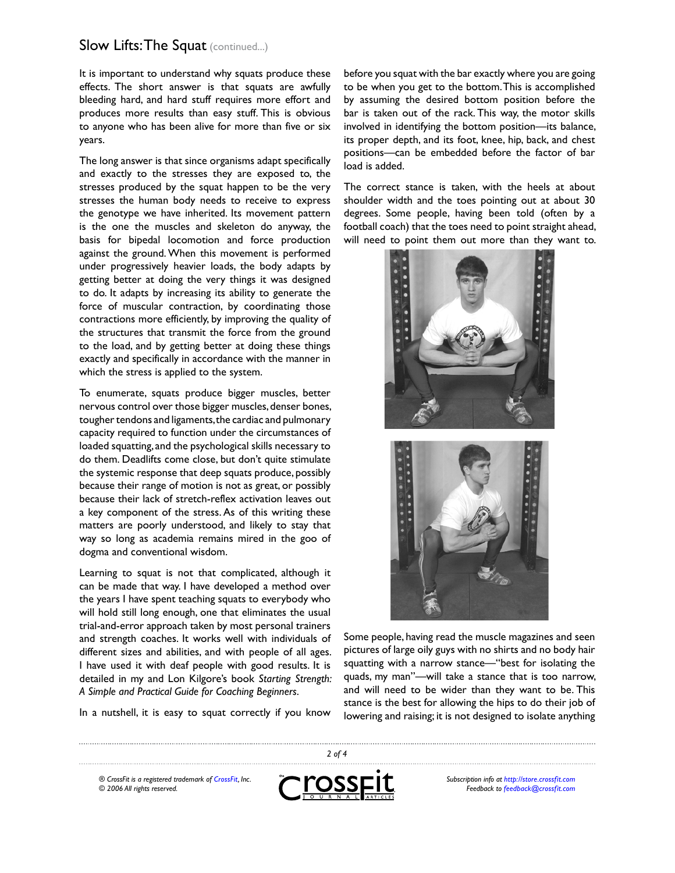## Slow Lifts: The Squat (continued...)

It is important to understand why squats produce these effects. The short answer is that squats are awfully bleeding hard, and hard stuff requires more effort and produces more results than easy stuff. This is obvious to anyone who has been alive for more than five or six years.

The long answer is that since organisms adapt specifically and exactly to the stresses they are exposed to, the stresses produced by the squat happen to be the very stresses the human body needs to receive to express the genotype we have inherited. Its movement pattern is the one the muscles and skeleton do anyway, the basis for bipedal locomotion and force production against the ground. When this movement is performed under progressively heavier loads, the body adapts by getting better at doing the very things it was designed to do. It adapts by increasing its ability to generate the force of muscular contraction, by coordinating those contractions more efficiently, by improving the quality of the structures that transmit the force from the ground to the load, and by getting better at doing these things exactly and specifically in accordance with the manner in which the stress is applied to the system.

To enumerate, squats produce bigger muscles, better nervous control over those bigger muscles, denser bones, tougher tendons and ligaments, the cardiac and pulmonary capacity required to function under the circumstances of loaded squatting, and the psychological skills necessary to do them. Deadlifts come close, but don't quite stimulate the systemic response that deep squats produce, possibly because their range of motion is not as great, or possibly because their lack of stretch-reflex activation leaves out a key component of the stress. As of this writing these matters are poorly understood, and likely to stay that way so long as academia remains mired in the goo of dogma and conventional wisdom.

Learning to squat is not that complicated, although it can be made that way. I have developed a method over the years I have spent teaching squats to everybody who will hold still long enough, one that eliminates the usual trial-and-error approach taken by most personal trainers and strength coaches. It works well with individuals of different sizes and abilities, and with people of all ages. I have used it with deaf people with good results. It is detailed in my and Lon Kilgore's book *Starting Strength: A Simple and Practical Guide for Coaching Beginners*.

In a nutshell, it is easy to squat correctly if you know

before you squat with the bar exactly where you are going to be when you get to the bottom. This is accomplished by assuming the desired bottom position before the bar is taken out of the rack. This way, the motor skills involved in identifying the bottom position—its balance, its proper depth, and its foot, knee, hip, back, and chest positions—can be embedded before the factor of bar load is added.

The correct stance is taken, with the heels at about shoulder width and the toes pointing out at about 30 degrees. Some people, having been told (often by a football coach) that the toes need to point straight ahead, will need to point them out more than they want to.





Some people, having read the muscle magazines and seen pictures of large oily guys with no shirts and no body hair squatting with a narrow stance—"best for isolating the quads, my man"—will take a stance that is too narrow, and will need to be wider than they want to be. This stance is the best for allowing the hips to do their job of lowering and raising; it is not designed to isolate anything

*® CrossFit is a registered trademark of [CrossFit,](http://www.crossfit.com) Inc. © 2006 All rights reserved.*



 *of 4*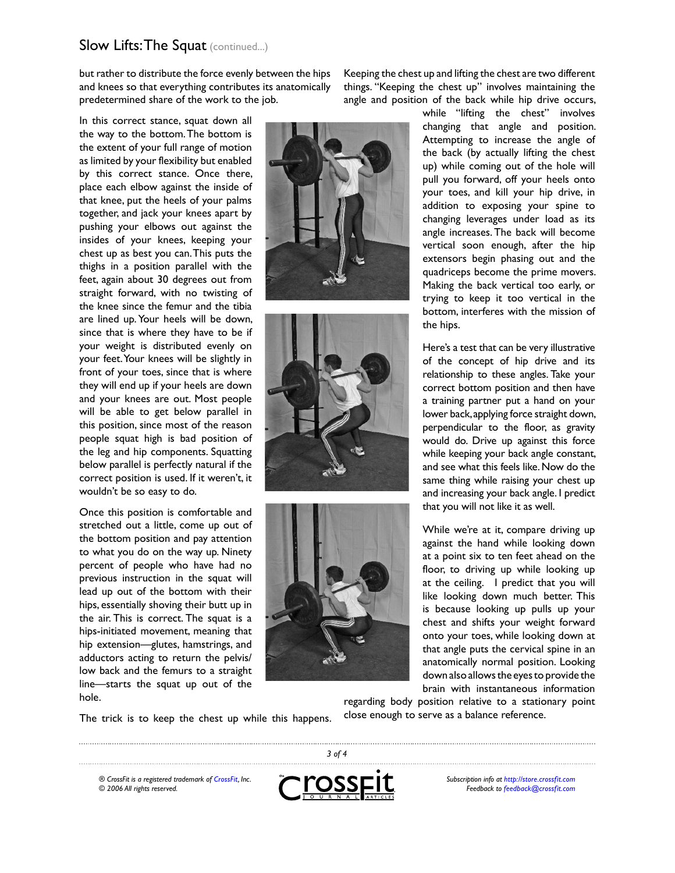but rather to distribute the force evenly between the hips and knees so that everything contributes its anatomically predetermined share of the work to the job.

In this correct stance, squat down all the way to the bottom. The bottom is the extent of your full range of motion as limited by your flexibility but enabled by this correct stance. Once there, place each elbow against the inside of that knee, put the heels of your palms together, and jack your knees apart by pushing your elbows out against the insides of your knees, keeping your chest up as best you can. This puts the thighs in a position parallel with the feet, again about 30 degrees out from straight forward, with no twisting of the knee since the femur and the tibia are lined up. Your heels will be down, since that is where they have to be if your weight is distributed evenly on your feet. Your knees will be slightly in front of your toes, since that is where they will end up if your heels are down and your knees are out. Most people will be able to get below parallel in this position, since most of the reason people squat high is bad position of the leg and hip components. Squatting below parallel is perfectly natural if the correct position is used. If it weren't, it wouldn't be so easy to do.

Once this position is comfortable and stretched out a little, come up out of the bottom position and pay attention to what you do on the way up. Ninety percent of people who have had no previous instruction in the squat will lead up out of the bottom with their hips, essentially shoving their butt up in the air. This is correct. The squat is a hips-initiated movement, meaning that hip extension—glutes, hamstrings, and adductors acting to return the pelvis/ low back and the femurs to a straight line—starts the squat up out of the hole.

The trick is to keep the chest up while this happens.

Keeping the chest up and lifting the chest are two different things. "Keeping the chest up" involves maintaining the angle and position of the back while hip drive occurs,







while "lifting the chest" involves changing that angle and position. Attempting to increase the angle of the back (by actually lifting the chest up) while coming out of the hole will pull you forward, off your heels onto your toes, and kill your hip drive, in addition to exposing your spine to changing leverages under load as its angle increases. The back will become vertical soon enough, after the hip extensors begin phasing out and the quadriceps become the prime movers. Making the back vertical too early, or trying to keep it too vertical in the bottom, interferes with the mission of the hips.

Here's a test that can be very illustrative of the concept of hip drive and its relationship to these angles. Take your correct bottom position and then have a training partner put a hand on your lower back, applying force straight down, perpendicular to the floor, as gravity would do. Drive up against this force while keeping your back angle constant, and see what this feels like. Now do the same thing while raising your chest up and increasing your back angle. I predict that you will not like it as well.

While we're at it, compare driving up against the hand while looking down at a point six to ten feet ahead on the floor, to driving up while looking up at the ceiling. I predict that you will like looking down much better. This is because looking up pulls up your chest and shifts your weight forward onto your toes, while looking down at that angle puts the cervical spine in an anatomically normal position. Looking down also allows the eyes to provide the brain with instantaneous information

regarding body position relative to a stationary point close enough to serve as a balance reference.

*® CrossFit is a registered trademark of [CrossFit,](http://www.crossfit.com) Inc. © 2006 All rights reserved.*



 *of 4*